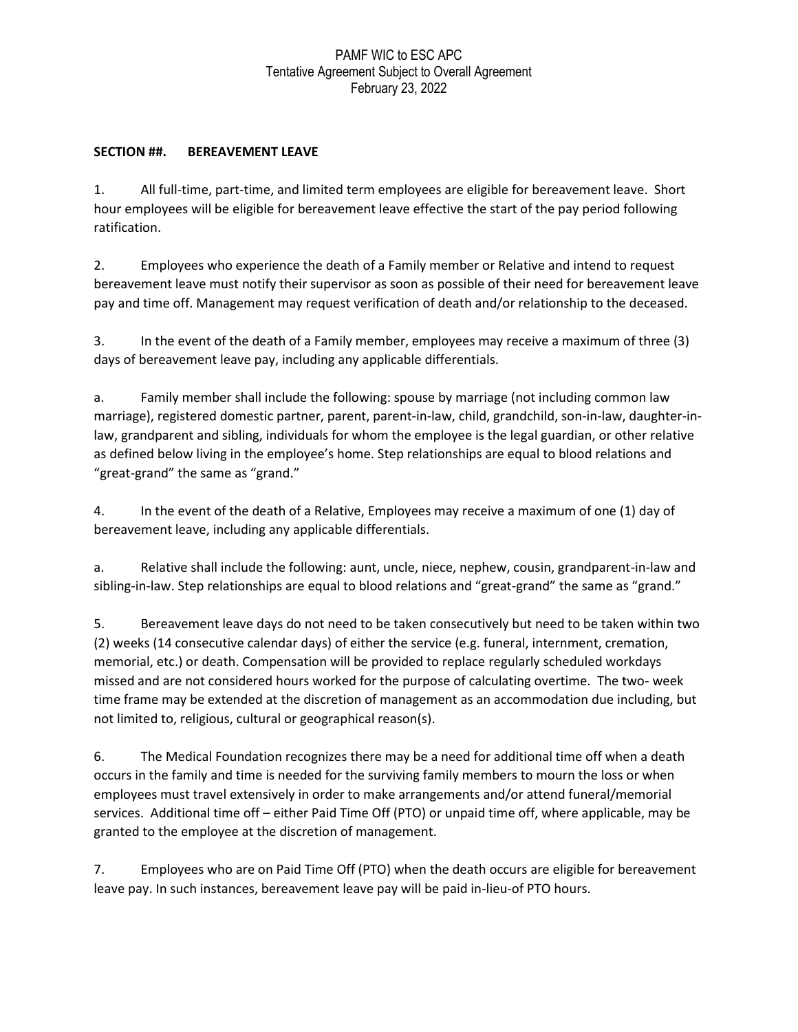## PAMF WIC to ESC APC Tentative Agreement Subject to Overall Agreement February 23, 2022

## **SECTION ##. BEREAVEMENT LEAVE**

1. All full-time, part-time, and limited term employees are eligible for bereavement leave. Short hour employees will be eligible for bereavement leave effective the start of the pay period following ratification.

2. Employees who experience the death of a Family member or Relative and intend to request bereavement leave must notify their supervisor as soon as possible of their need for bereavement leave pay and time off. Management may request verification of death and/or relationship to the deceased.

3. In the event of the death of a Family member, employees may receive a maximum of three (3) days of bereavement leave pay, including any applicable differentials.

a. Family member shall include the following: spouse by marriage (not including common law marriage), registered domestic partner, parent, parent-in-law, child, grandchild, son-in-law, daughter-inlaw, grandparent and sibling, individuals for whom the employee is the legal guardian, or other relative as defined below living in the employee's home. Step relationships are equal to blood relations and "great-grand" the same as "grand."

4. In the event of the death of a Relative, Employees may receive a maximum of one (1) day of bereavement leave, including any applicable differentials.

a. Relative shall include the following: aunt, uncle, niece, nephew, cousin, grandparent-in-law and sibling-in-law. Step relationships are equal to blood relations and "great-grand" the same as "grand."

5. Bereavement leave days do not need to be taken consecutively but need to be taken within two (2) weeks (14 consecutive calendar days) of either the service (e.g. funeral, internment, cremation, memorial, etc.) or death. Compensation will be provided to replace regularly scheduled workdays missed and are not considered hours worked for the purpose of calculating overtime. The two- week time frame may be extended at the discretion of management as an accommodation due including, but not limited to, religious, cultural or geographical reason(s).

6. The Medical Foundation recognizes there may be a need for additional time off when a death occurs in the family and time is needed for the surviving family members to mourn the loss or when employees must travel extensively in order to make arrangements and/or attend funeral/memorial services. Additional time off – either Paid Time Off (PTO) or unpaid time off, where applicable, may be granted to the employee at the discretion of management.

7. Employees who are on Paid Time Off (PTO) when the death occurs are eligible for bereavement leave pay. In such instances, bereavement leave pay will be paid in-lieu-of PTO hours.